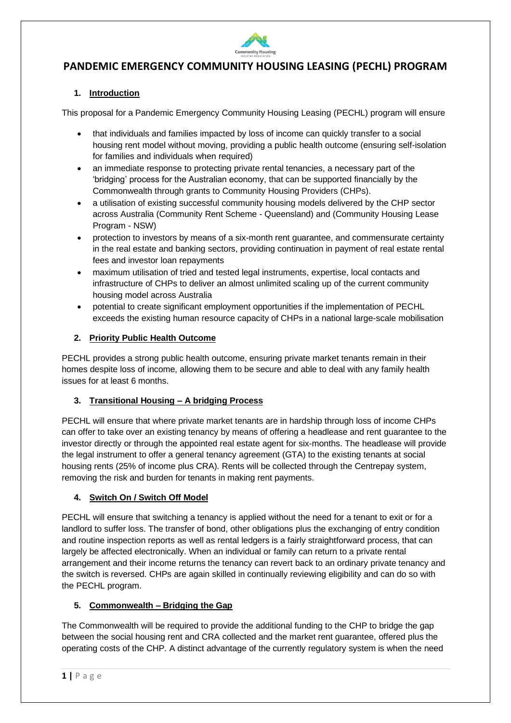

# **PANDEMIC EMERGENCY COMMUNITY HOUSING LEASING (PECHL) PROGRAM**

## **1. Introduction**

This proposal for a Pandemic Emergency Community Housing Leasing (PECHL) program will ensure

- that individuals and families impacted by loss of income can quickly transfer to a social housing rent model without moving, providing a public health outcome (ensuring self-isolation for families and individuals when required)
- an immediate response to protecting private rental tenancies, a necessary part of the 'bridging' process for the Australian economy, that can be supported financially by the Commonwealth through grants to Community Housing Providers (CHPs).
- a utilisation of existing successful community housing models delivered by the CHP sector across Australia (Community Rent Scheme - Queensland) and (Community Housing Lease Program - NSW)
- protection to investors by means of a six-month rent guarantee, and commensurate certainty in the real estate and banking sectors, providing continuation in payment of real estate rental fees and investor loan repayments
- maximum utilisation of tried and tested legal instruments, expertise, local contacts and infrastructure of CHPs to deliver an almost unlimited scaling up of the current community housing model across Australia
- potential to create significant employment opportunities if the implementation of PECHL exceeds the existing human resource capacity of CHPs in a national large-scale mobilisation

## **2. Priority Public Health Outcome**

PECHL provides a strong public health outcome, ensuring private market tenants remain in their homes despite loss of income, allowing them to be secure and able to deal with any family health issues for at least 6 months.

## **3. Transitional Housing – A bridging Process**

PECHL will ensure that where private market tenants are in hardship through loss of income CHPs can offer to take over an existing tenancy by means of offering a headlease and rent guarantee to the investor directly or through the appointed real estate agent for six-months. The headlease will provide the legal instrument to offer a general tenancy agreement (GTA) to the existing tenants at social housing rents (25% of income plus CRA). Rents will be collected through the Centrepay system, removing the risk and burden for tenants in making rent payments.

## **4. Switch On / Switch Off Model**

PECHL will ensure that switching a tenancy is applied without the need for a tenant to exit or for a landlord to suffer loss. The transfer of bond, other obligations plus the exchanging of entry condition and routine inspection reports as well as rental ledgers is a fairly straightforward process, that can largely be affected electronically. When an individual or family can return to a private rental arrangement and their income returns the tenancy can revert back to an ordinary private tenancy and the switch is reversed. CHPs are again skilled in continually reviewing eligibility and can do so with the PECHL program.

## **5. Commonwealth – Bridging the Gap**

The Commonwealth will be required to provide the additional funding to the CHP to bridge the gap between the social housing rent and CRA collected and the market rent guarantee, offered plus the operating costs of the CHP. A distinct advantage of the currently regulatory system is when the need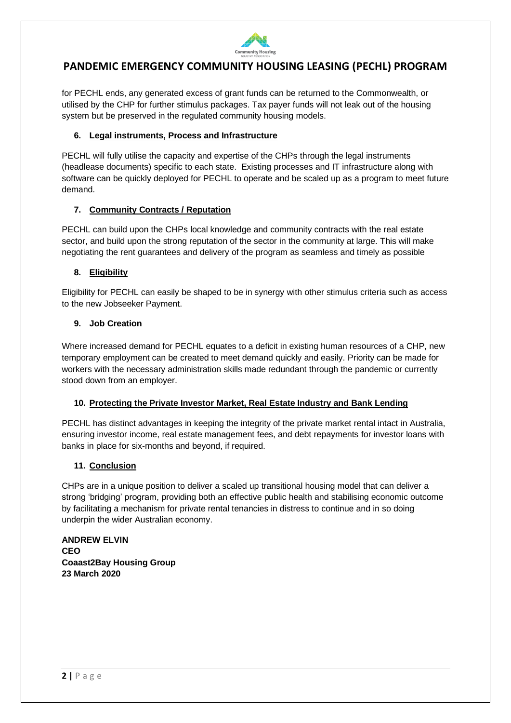

# **PANDEMIC EMERGENCY COMMUNITY HOUSING LEASING (PECHL) PROGRAM**

for PECHL ends, any generated excess of grant funds can be returned to the Commonwealth, or utilised by the CHP for further stimulus packages. Tax payer funds will not leak out of the housing system but be preserved in the regulated community housing models.

#### **6. Legal instruments, Process and Infrastructure**

PECHL will fully utilise the capacity and expertise of the CHPs through the legal instruments (headlease documents) specific to each state. Existing processes and IT infrastructure along with software can be quickly deployed for PECHL to operate and be scaled up as a program to meet future demand.

## **7. Community Contracts / Reputation**

PECHL can build upon the CHPs local knowledge and community contracts with the real estate sector, and build upon the strong reputation of the sector in the community at large. This will make negotiating the rent guarantees and delivery of the program as seamless and timely as possible

#### **8. Eligibility**

Eligibility for PECHL can easily be shaped to be in synergy with other stimulus criteria such as access to the new Jobseeker Payment.

#### **9. Job Creation**

Where increased demand for PECHL equates to a deficit in existing human resources of a CHP, new temporary employment can be created to meet demand quickly and easily. Priority can be made for workers with the necessary administration skills made redundant through the pandemic or currently stood down from an employer.

## **10. Protecting the Private Investor Market, Real Estate Industry and Bank Lending**

PECHL has distinct advantages in keeping the integrity of the private market rental intact in Australia, ensuring investor income, real estate management fees, and debt repayments for investor loans with banks in place for six-months and beyond, if required.

## **11. Conclusion**

CHPs are in a unique position to deliver a scaled up transitional housing model that can deliver a strong 'bridging' program, providing both an effective public health and stabilising economic outcome by facilitating a mechanism for private rental tenancies in distress to continue and in so doing underpin the wider Australian economy.

**ANDREW ELVIN CEO Coaast2Bay Housing Group 23 March 2020**